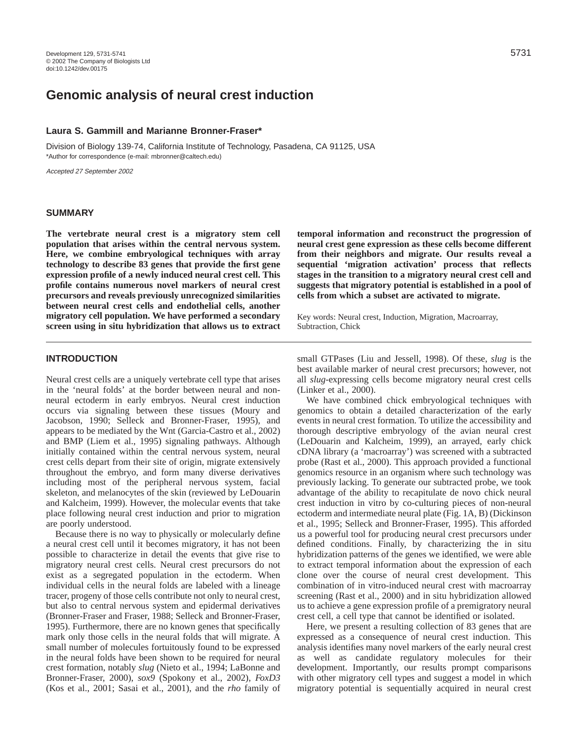# **Genomic analysis of neural crest induction**

#### **Laura S. Gammill and Marianne Bronner-Fraser\***

Division of Biology 139-74, California Institute of Technology, Pasadena, CA 91125, USA \*Author for correspondence (e-mail: mbronner@caltech.edu)

Accepted 27 September 2002

## **SUMMARY**

**The vertebrate neural crest is a migratory stem cell population that arises within the central nervous system. Here, we combine embryological techniques with array technology to describe 83 genes that provide the first gene expression profile of a newly induced neural crest cell. This profile contains numerous novel markers of neural crest precursors and reveals previously unrecognized similarities between neural crest cells and endothelial cells, another migratory cell population. We have performed a secondary screen using in situ hybridization that allows us to extract** **temporal information and reconstruct the progression of neural crest gene expression as these cells become different from their neighbors and migrate. Our results reveal a sequential 'migration activation' process that reflects stages in the transition to a migratory neural crest cell and suggests that migratory potential is established in a pool of cells from which a subset are activated to migrate.**

Key words: Neural crest, Induction, Migration, Macroarray, Subtraction, Chick

## **INTRODUCTION**

Neural crest cells are a uniquely vertebrate cell type that arises in the 'neural folds' at the border between neural and nonneural ectoderm in early embryos. Neural crest induction occurs via signaling between these tissues (Moury and Jacobson, 1990; Selleck and Bronner-Fraser, 1995), and appears to be mediated by the Wnt (Garcia-Castro et al., 2002) and BMP (Liem et al., 1995) signaling pathways. Although initially contained within the central nervous system, neural crest cells depart from their site of origin, migrate extensively throughout the embryo, and form many diverse derivatives including most of the peripheral nervous system, facial skeleton, and melanocytes of the skin (reviewed by LeDouarin and Kalcheim, 1999). However, the molecular events that take place following neural crest induction and prior to migration are poorly understood.

Because there is no way to physically or molecularly define a neural crest cell until it becomes migratory, it has not been possible to characterize in detail the events that give rise to migratory neural crest cells. Neural crest precursors do not exist as a segregated population in the ectoderm. When individual cells in the neural folds are labeled with a lineage tracer, progeny of those cells contribute not only to neural crest, but also to central nervous system and epidermal derivatives (Bronner-Fraser and Fraser, 1988; Selleck and Bronner-Fraser, 1995). Furthermore, there are no known genes that specifically mark only those cells in the neural folds that will migrate. A small number of molecules fortuitously found to be expressed in the neural folds have been shown to be required for neural crest formation, notably *slug* (Nieto et al., 1994; LaBonne and Bronner-Fraser, 2000), *sox9* (Spokony et al., 2002), *FoxD3* (Kos et al., 2001; Sasai et al., 2001), and the *rho* family of small GTPases (Liu and Jessell, 1998). Of these, *slug* is the best available marker of neural crest precursors; however, not all *slug*-expressing cells become migratory neural crest cells (Linker et al., 2000).

We have combined chick embryological techniques with genomics to obtain a detailed characterization of the early events in neural crest formation. To utilize the accessibility and thorough descriptive embryology of the avian neural crest (LeDouarin and Kalcheim, 1999), an arrayed, early chick cDNA library (a 'macroarray') was screened with a subtracted probe (Rast et al., 2000). This approach provided a functional genomics resource in an organism where such technology was previously lacking. To generate our subtracted probe, we took advantage of the ability to recapitulate de novo chick neural crest induction in vitro by co-culturing pieces of non-neural ectoderm and intermediate neural plate (Fig. 1A, B) (Dickinson et al., 1995; Selleck and Bronner-Fraser, 1995). This afforded us a powerful tool for producing neural crest precursors under defined conditions. Finally, by characterizing the in situ hybridization patterns of the genes we identified, we were able to extract temporal information about the expression of each clone over the course of neural crest development. This combination of in vitro-induced neural crest with macroarray screening (Rast et al., 2000) and in situ hybridization allowed us to achieve a gene expression profile of a premigratory neural crest cell, a cell type that cannot be identified or isolated.

Here, we present a resulting collection of 83 genes that are expressed as a consequence of neural crest induction. This analysis identifies many novel markers of the early neural crest as well as candidate regulatory molecules for their development. Importantly, our results prompt comparisons with other migratory cell types and suggest a model in which migratory potential is sequentially acquired in neural crest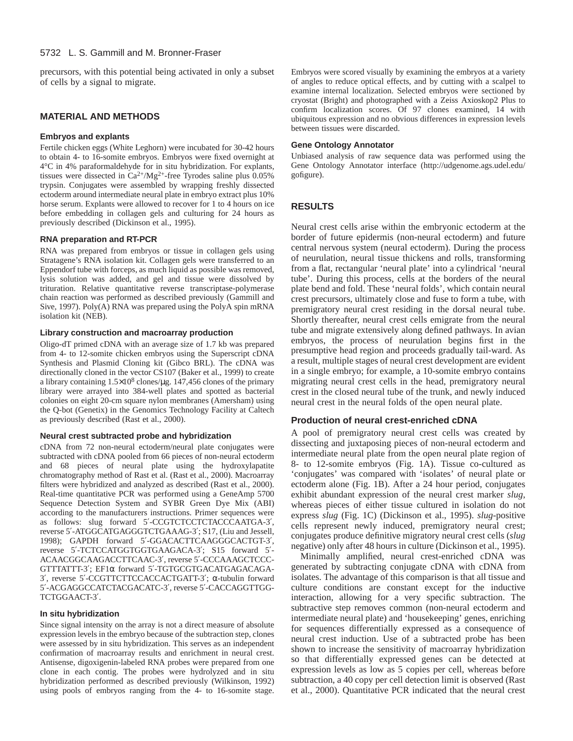precursors, with this potential being activated in only a subset of cells by a signal to migrate.

## **MATERIAL AND METHODS**

#### **Embryos and explants**

Fertile chicken eggs (White Leghorn) were incubated for 30-42 hours to obtain 4- to 16-somite embryos. Embryos were fixed overnight at 4°C in 4% paraformaldehyde for in situ hybridization. For explants, tissues were dissected in Ca2+/Mg2+-free Tyrodes saline plus 0.05% trypsin. Conjugates were assembled by wrapping freshly dissected ectoderm around intermediate neural plate in embryo extract plus 10% horse serum. Explants were allowed to recover for 1 to 4 hours on ice before embedding in collagen gels and culturing for 24 hours as previously described (Dickinson et al., 1995).

#### **RNA preparation and RT-PCR**

RNA was prepared from embryos or tissue in collagen gels using Stratagene's RNA isolation kit. Collagen gels were transferred to an Eppendorf tube with forceps, as much liquid as possible was removed, lysis solution was added, and gel and tissue were dissolved by trituration. Relative quantitative reverse transcriptase-polymerase chain reaction was performed as described previously (Gammill and Sive, 1997). Poly(A) RNA was prepared using the PolyA spin mRNA isolation kit (NEB).

#### **Library construction and macroarray production**

Oligo-dT primed cDNA with an average size of 1.7 kb was prepared from 4- to 12-somite chicken embryos using the Superscript cDNA Synthesis and Plasmid Cloning kit (Gibco BRL). The cDNA was directionally cloned in the vector CS107 (Baker et al., 1999) to create a library containing  $1.5 \times 10^8$  clones/ $\mu$ g. 147,456 clones of the primary library were arrayed into 384-well plates and spotted as bacterial colonies on eight 20-cm square nylon membranes (Amersham) using the Q-bot (Genetix) in the Genomics Technology Facility at Caltech as previously described (Rast et al., 2000).

#### **Neural crest subtracted probe and hybridization**

cDNA from 72 non-neural ectoderm/neural plate conjugates were subtracted with cDNA pooled from 66 pieces of non-neural ectoderm and 68 pieces of neural plate using the hydroxylapatite chromatography method of Rast et al. (Rast et al., 2000). Macroarray filters were hybridized and analyzed as described (Rast et al., 2000). Real-time quantitative PCR was performed using a GeneAmp 5700 Sequence Detection System and SYBR Green Dye Mix (ABI) according to the manufacturers instructions. Primer sequences were as follows: slug forward 5′-CCGTCTCCTCTACCCAATGA-3′, reverse 5′-ATGGCATGAGGGTCTGAAAG-3′; S17, (Liu and Jessell, 1998); GAPDH forward 5′-GGACACTTCAAGGGCACTGT-3′, reverse 5′-TCTCCATGGTGGTGAAGACA-3′; S15 forward 5′- ACAACGGCAAGACCTTCAAC-3′, reverse 5′-CCCAAAGCTCCC-GTTTATTT-3′; EF1α forward 5′-TGTGCGTGACATGAGACAGA-3′, reverse 5′-CCGTTCTTCCACCACTGATT-3′; α-tubulin forward 5′-ACGAGGCCATCTACGACATC-3′, reverse 5′-CACCAGGTTGG-TCTGGAACT-3′.

## **In situ hybridization**

Since signal intensity on the array is not a direct measure of absolute expression levels in the embryo because of the subtraction step, clones were assessed by in situ hybridization. This serves as an independent confirmation of macroarray results and enrichment in neural crest. Antisense, digoxigenin-labeled RNA probes were prepared from one clone in each contig. The probes were hydrolyzed and in situ hybridization performed as described previously (Wilkinson, 1992) using pools of embryos ranging from the 4- to 16-somite stage.

Embryos were scored visually by examining the embryos at a variety of angles to reduce optical effects, and by cutting with a scalpel to examine internal localization. Selected embryos were sectioned by cryostat (Bright) and photographed with a Zeiss Axioskop2 Plus to confirm localization scores. Of 97 clones examined, 14 with ubiquitous expression and no obvious differences in expression levels between tissues were discarded.

#### **Gene Ontology Annotator**

Unbiased analysis of raw sequence data was performed using the Gene Ontology Annotator interface [\(http://udgenome.ags.udel.edu/](http://udgenome.ags.udel.edu/) gofigure).

## **RESULTS**

Neural crest cells arise within the embryonic ectoderm at the border of future epidermis (non-neural ectoderm) and future central nervous system (neural ectoderm). During the process of neurulation, neural tissue thickens and rolls, transforming from a flat, rectangular 'neural plate' into a cylindrical 'neural tube'. During this process, cells at the borders of the neural plate bend and fold. These 'neural folds', which contain neural crest precursors, ultimately close and fuse to form a tube, with premigratory neural crest residing in the dorsal neural tube. Shortly thereafter, neural crest cells emigrate from the neural tube and migrate extensively along defined pathways. In avian embryos, the process of neurulation begins first in the presumptive head region and proceeds gradually tail-ward. As a result, multiple stages of neural crest development are evident in a single embryo; for example, a 10-somite embryo contains migrating neural crest cells in the head, premigratory neural crest in the closed neural tube of the trunk, and newly induced neural crest in the neural folds of the open neural plate.

## **Production of neural crest-enriched cDNA**

A pool of premigratory neural crest cells was created by dissecting and juxtaposing pieces of non-neural ectoderm and intermediate neural plate from the open neural plate region of 8- to 12-somite embryos (Fig. 1A). Tissue co-cultured as 'conjugates' was compared with 'isolates' of neural plate or ectoderm alone (Fig. 1B). After a 24 hour period, conjugates exhibit abundant expression of the neural crest marker *slug*, whereas pieces of either tissue cultured in isolation do not express *slug* (Fig. 1C) (Dickinson et al., 1995). *slug*-positive cells represent newly induced, premigratory neural crest; conjugates produce definitive migratory neural crest cells (*slug* negative) only after 48 hours in culture (Dickinson et al., 1995).

Minimally amplified, neural crest-enriched cDNA was generated by subtracting conjugate cDNA with cDNA from isolates. The advantage of this comparison is that all tissue and culture conditions are constant except for the inductive interaction, allowing for a very specific subtraction. The subtractive step removes common (non-neural ectoderm and intermediate neural plate) and 'housekeeping' genes, enriching for sequences differentially expressed as a consequence of neural crest induction. Use of a subtracted probe has been shown to increase the sensitivity of macroarray hybridization so that differentially expressed genes can be detected at expression levels as low as 5 copies per cell, whereas before subtraction, a 40 copy per cell detection limit is observed (Rast et al., 2000). Quantitative PCR indicated that the neural crest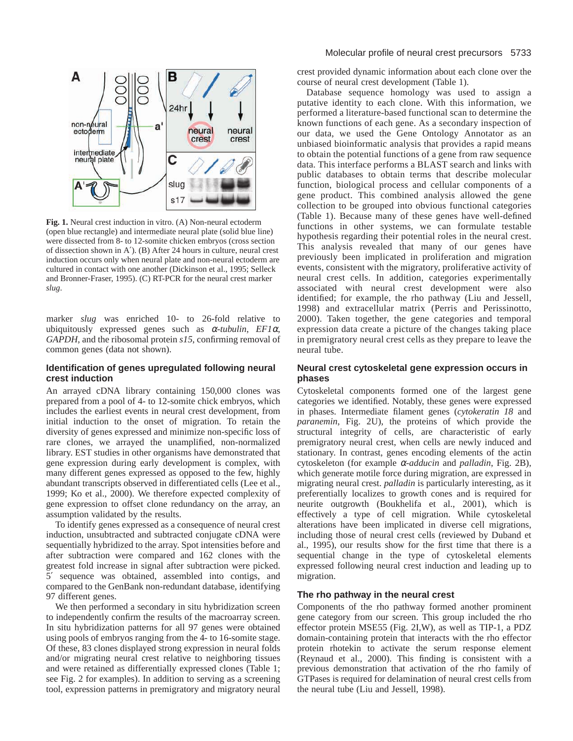

**Fig. 1.** Neural crest induction in vitro. (A) Non-neural ectoderm (open blue rectangle) and intermediate neural plate (solid blue line) were dissected from 8- to 12-somite chicken embryos (cross section of dissection shown in A′). (B) After 24 hours in culture, neural crest induction occurs only when neural plate and non-neural ectoderm are cultured in contact with one another (Dickinson et al., 1995; Selleck and Bronner-Fraser, 1995). (C) RT-PCR for the neural crest marker *slug*.

marker *slug* was enriched 10- to 26-fold relative to ubiquitously expressed genes such as α*-tubulin*, *EF1*α, *GAPDH*, and the ribosomal protein *s15*, confirming removal of common genes (data not shown).

## **Identification of genes upregulated following neural crest induction**

An arrayed cDNA library containing 150,000 clones was prepared from a pool of 4- to 12-somite chick embryos, which includes the earliest events in neural crest development, from initial induction to the onset of migration. To retain the diversity of genes expressed and minimize non-specific loss of rare clones, we arrayed the unamplified, non-normalized library. EST studies in other organisms have demonstrated that gene expression during early development is complex, with many different genes expressed as opposed to the few, highly abundant transcripts observed in differentiated cells (Lee et al., 1999; Ko et al., 2000). We therefore expected complexity of gene expression to offset clone redundancy on the array, an assumption validated by the results.

To identify genes expressed as a consequence of neural crest induction, unsubtracted and subtracted conjugate cDNA were sequentially hybridized to the array. Spot intensities before and after subtraction were compared and 162 clones with the greatest fold increase in signal after subtraction were picked. 5′ sequence was obtained, assembled into contigs, and compared to the GenBank non-redundant database, identifying 97 different genes.

We then performed a secondary in situ hybridization screen to independently confirm the results of the macroarray screen. In situ hybridization patterns for all 97 genes were obtained using pools of embryos ranging from the 4- to 16-somite stage. Of these, 83 clones displayed strong expression in neural folds and/or migrating neural crest relative to neighboring tissues and were retained as differentially expressed clones (Table 1; see Fig. 2 for examples). In addition to serving as a screening tool, expression patterns in premigratory and migratory neural crest provided dynamic information about each clone over the course of neural crest development (Table 1).

Database sequence homology was used to assign a putative identity to each clone. With this information, we performed a literature-based functional scan to determine the known functions of each gene. As a secondary inspection of our data, we used the Gene Ontology Annotator as an unbiased bioinformatic analysis that provides a rapid means to obtain the potential functions of a gene from raw sequence data. This interface performs a BLAST search and links with public databases to obtain terms that describe molecular function, biological process and cellular components of a gene product. This combined analysis allowed the gene collection to be grouped into obvious functional categories (Table 1). Because many of these genes have well-defined functions in other systems, we can formulate testable hypothesis regarding their potential roles in the neural crest. This analysis revealed that many of our genes have previously been implicated in proliferation and migration events, consistent with the migratory, proliferative activity of neural crest cells. In addition, categories experimentally associated with neural crest development were also identified; for example, the rho pathway (Liu and Jessell, 1998) and extracellular matrix (Perris and Perissinotto, 2000). Taken together, the gene categories and temporal expression data create a picture of the changes taking place in premigratory neural crest cells as they prepare to leave the neural tube.

## **Neural crest cytoskeletal gene expression occurs in phases**

Cytoskeletal components formed one of the largest gene categories we identified. Notably, these genes were expressed in phases. Intermediate filament genes (*cytokeratin 18* and *paranemin*, Fig. 2U), the proteins of which provide the structural integrity of cells, are characteristic of early premigratory neural crest, when cells are newly induced and stationary. In contrast, genes encoding elements of the actin cytoskeleton (for example α*-adducin* and *palladin*, Fig. 2B), which generate motile force during migration, are expressed in migrating neural crest. *palladin* is particularly interesting, as it preferentially localizes to growth cones and is required for neurite outgrowth (Boukhelifa et al., 2001), which is effectively a type of cell migration. While cytoskeletal alterations have been implicated in diverse cell migrations, including those of neural crest cells (reviewed by Duband et al., 1995), our results show for the first time that there is a sequential change in the type of cytoskeletal elements expressed following neural crest induction and leading up to migration.

#### **The rho pathway in the neural crest**

Components of the rho pathway formed another prominent gene category from our screen. This group included the rho effector protein MSE55 (Fig. 2I,W), as well as TIP-1, a PDZ domain-containing protein that interacts with the rho effector protein rhotekin to activate the serum response element (Reynaud et al., 2000). This finding is consistent with a previous demonstration that activation of the rho family of GTPases is required for delamination of neural crest cells from the neural tube (Liu and Jessell, 1998).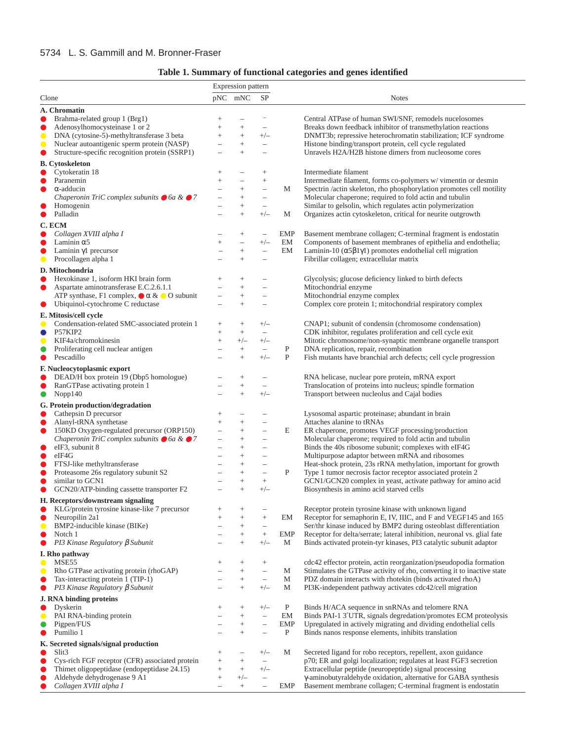## 5734 L. S. Gammill and M. Bronner-Fraser

| Table 1. Summary of functional categories and genes identified |  |  |
|----------------------------------------------------------------|--|--|
|                                                                |  |  |

|                                                                                                      | <b>Expression pattern</b>                            |                          |                                                      |                  |                                                                                                                                               |
|------------------------------------------------------------------------------------------------------|------------------------------------------------------|--------------------------|------------------------------------------------------|------------------|-----------------------------------------------------------------------------------------------------------------------------------------------|
| Clone                                                                                                |                                                      | pNC mNC                  | <b>SP</b>                                            |                  | <b>Notes</b>                                                                                                                                  |
| A. Chromatin                                                                                         |                                                      |                          |                                                      |                  |                                                                                                                                               |
| Brahma-related group 1 (Brg1)<br>$\bullet$                                                           | $^{+}$                                               |                          |                                                      |                  | Central ATPase of human SWI/SNF, remodels nucelosomes                                                                                         |
| Adenosylhomocysteinase 1 or 2<br>$\bullet$<br>DNA (cytosine-5)-methyltransferase 3 beta<br>$\bullet$ | $^{+}$<br>$^{+}$                                     | $^{+}$<br>$^{+}$         | $\overline{\phantom{0}}$<br>$+/-$                    |                  | Breaks down feedback inhibitor of transmethylation reactions<br>DNMT3b; repressive heterochromatin stabilization; ICF syndrome                |
| Nuclear autoantigenic sperm protein (NASP)<br>$\bullet$                                              | $\equiv$                                             | $+$                      | $\overline{\phantom{0}}$                             |                  | Histone binding/transport protein, cell cycle regulated                                                                                       |
| Structure-specific recognition protein (SSRP1)<br>$\bullet$                                          | $\overline{a}$                                       | $+$                      | $\overline{a}$                                       |                  | Unravels H2A/H2B histone dimers from nucleosome cores                                                                                         |
| <b>B.</b> Cytoskeleton                                                                               |                                                      |                          |                                                      |                  |                                                                                                                                               |
| Cytokeratin 18<br>$\bullet$                                                                          | $\! + \!\!\!\!$                                      |                          | $^{+}$                                               |                  | Intermediate filament                                                                                                                         |
| Paranemin<br>$\bullet$                                                                               | $\! + \!\!\!\!$                                      | $\overline{a}$           | $^{+}$                                               |                  | Intermediate filament, forms co-polymers w/vimentin or desmin                                                                                 |
| $\alpha$ -adducin<br>$\bullet$<br>Chaperonin TriC complex subunits $\bullet$ 6a & $\bullet$ 7        | $\overline{\phantom{0}}$                             | $^{+}$<br>$^{+}$         | $\overline{\phantom{0}}$<br>$\qquad \qquad -$        | М                | Spectrin /actin skeleton, rho phosphorylation promotes cell motility<br>Molecular chaperone; required to fold actin and tubulin               |
| Homogenin                                                                                            |                                                      | $+$                      | $\overline{\phantom{0}}$                             |                  | Similar to gelsolin, which regulates actin polymerization                                                                                     |
| Palladin<br>$\bullet$                                                                                |                                                      | $+$                      | $+/-$                                                | M                | Organizes actin cytoskeleton, critical for neurite outgrowth                                                                                  |
| C. ECM                                                                                               |                                                      |                          |                                                      |                  |                                                                                                                                               |
| Collagen XVIII alpha I<br>$\bullet$                                                                  |                                                      | $^{+}$                   | $\overline{\phantom{0}}$                             | EMP              | Basement membrane collagen; C-terminal fragment is endostatin                                                                                 |
| Laminin $\alpha$ 5<br>$\bullet$                                                                      | $\! +$                                               | $\qquad \qquad -$        | $+/-$                                                | EM               | Components of basement membranes of epithelia and endothelia;                                                                                 |
| Laminin $\gamma$ 1 precursor<br>$\bullet$<br>Procollagen alpha 1<br>$\bullet$                        | $\overline{\phantom{0}}$                             | $^{+}$<br>$+$            | $\overline{\phantom{0}}$<br>$\overline{\phantom{0}}$ | EM               | Laminin-10 ( $\alpha$ 5 $\beta$ 1 $\gamma$ 1) promotes endothelial cell migration<br>Fibrillar collagen; extracellular matrix                 |
|                                                                                                      |                                                      |                          |                                                      |                  |                                                                                                                                               |
| D. Mitochondria<br>Hexokinase 1, isoform HKI brain form<br>$\bullet$                                 | $^{+}$                                               | $^{+}$                   |                                                      |                  | Glycolysis; glucose deficiency linked to birth defects                                                                                        |
| Aspartate aminotransferase E.C.2.6.1.1<br>$\bullet$                                                  | $\overline{a}$                                       | $^{+}$                   | $\overline{\phantom{0}}$                             |                  | Mitochondrial enzyme                                                                                                                          |
| ATP synthase, F1 complex, $\bullet \alpha \& \bullet$ O subunit                                      | $\overline{a}$                                       | $^{+}$                   | $\overline{\phantom{0}}$                             |                  | Mitochondrial enzyme complex                                                                                                                  |
| Ubiquinol-cytochrome C reductase<br>$\bullet$                                                        |                                                      | $+$                      | $\overline{\phantom{0}}$                             |                  | Complex core protein 1; mitochondrial respiratory complex                                                                                     |
| E. Mitosis/cell cycle                                                                                |                                                      |                          |                                                      |                  |                                                                                                                                               |
| Condensation-related SMC-associated protein 1                                                        | $^{+}$                                               | $^{+}$                   | $+/-$                                                |                  | CNAP1; subunit of condensin (chromosome condensation)                                                                                         |
| P57KIP2<br>$\bullet$<br>KIF4a/chromokinesin<br>$\bullet$                                             | $^{+}$<br>$+$                                        | $+$<br>$+/-$             | $\equiv$<br>$+/-$                                    |                  | CDK inhibitor, regulates proliferation and cell cycle exit<br>Mitotic chromosome/non-synaptic membrane organelle transport                    |
| Proliferating cell nuclear antigen<br>$\bullet$                                                      | $\overline{\phantom{0}}$                             | $+$                      | $\overline{\phantom{0}}$                             | $\, {\bf P}$     | DNA replication, repair, recombination                                                                                                        |
| Pescadillo<br>$\bullet$                                                                              |                                                      | $^{+}$                   | $+/-$                                                | $\mathbf{P}$     | Fish mutants have branchial arch defects; cell cycle progression                                                                              |
| F. Nucleocytoplasmic export                                                                          |                                                      |                          |                                                      |                  |                                                                                                                                               |
| DEAD/H box protein 19 (Dbp5 homologue)<br>$\bullet$                                                  |                                                      | $^{+}$                   | $\overline{\phantom{0}}$                             |                  | RNA helicase, nuclear pore protein, mRNA export                                                                                               |
| RanGTPase activating protein 1<br>$\bullet$                                                          |                                                      | $^{+}$                   | $\overline{a}$                                       |                  | Translocation of proteins into nucleus; spindle formation                                                                                     |
| Nopp140<br>$\bullet$                                                                                 |                                                      | $+$                      | $+/-$                                                |                  | Transport between nucleolus and Cajal bodies                                                                                                  |
| G. Protein production/degradation                                                                    |                                                      |                          |                                                      |                  |                                                                                                                                               |
| Cathepsin D precursor<br>0<br>$\bullet$                                                              | $^{+}$                                               | $\overline{\phantom{0}}$ | $\overline{\phantom{0}}$                             |                  | Lysosomal aspartic proteinase; abundant in brain<br>Attaches alanine to tRNAs                                                                 |
| Alanyl-tRNA synthetase<br>150KD Oxygen-regulated precursor (ORP150)<br>$\bullet$                     | $\! +$<br>$\overline{a}$                             | $^{+}$<br>$^{+}$         | $\overline{\phantom{0}}$                             | E                | ER chaperone, promotes VEGF processing/production                                                                                             |
| Chaperonin TriC complex subunits $\bigcirc$ 6a & $\bigcirc$ 7                                        | $\overline{\phantom{0}}$                             | $^{+}$                   | $\overline{\phantom{0}}$                             |                  | Molecular chaperone; required to fold actin and tubulin                                                                                       |
| eIF3, subunit 8<br>0                                                                                 |                                                      | $+$                      | $\overline{\phantom{0}}$                             |                  | Binds the 40s ribosome subunit; complexes with eIF4G                                                                                          |
| eIF4G<br>$\bullet$                                                                                   |                                                      | $^{+}$                   | $\overline{\phantom{0}}$                             |                  | Multipurpose adaptor between mRNA and ribosomes                                                                                               |
| FTSJ-like methyltransferase<br>$\bullet$                                                             |                                                      | $+$                      | $\overline{\phantom{0}}$                             |                  | Heat-shock protein, 23s rRNA methylation, important for growth                                                                                |
| Proteasome 26s regulatory subunit S2<br>$\bullet$<br>similar to GCN1                                 |                                                      | $^{+}$<br>$+$            | $\overline{a}$<br>$^{+}$                             | $\mathbf{P}$     | Type 1 tumor necrosis factor receptor associated protein 2<br>GCN1/GCN20 complex in yeast, activate pathway for amino acid                    |
| GCN20/ATP-binding cassette transporter F2                                                            |                                                      | $+$                      | $+/-$                                                |                  | Biosynthesis in amino acid starved cells                                                                                                      |
| H. Receptors/downstream signaling                                                                    |                                                      |                          |                                                      |                  |                                                                                                                                               |
| KLG/protein tyrosine kinase-like 7 precursor<br>0                                                    | $^{+}$                                               | $^{+}$                   | $\overline{\phantom{0}}$                             |                  | Receptor protein tyrosine kinase with unknown ligand                                                                                          |
| Neuropilin 2a1                                                                                       | $^{+}$                                               | $^{+}$                   | $^+$                                                 | EM               | Receptor for semaphorin E, IV, IIIC, and F and VEGF145 and 165                                                                                |
| BMP2-inducible kinase (BIKe)                                                                         | $\overline{a}$                                       | $^{+}$                   | $\overline{\phantom{0}}$                             |                  | Ser/thr kinase induced by BMP2 during osteoblast differentiation                                                                              |
| 0<br>Notch 1<br>PI3 Kinase Regulatory $\beta$ Subunit<br>O                                           | $\overline{\phantom{0}}$                             | $^{+}$<br>$^{+}$         | $\qquad \qquad +$<br>$+/-$                           | <b>EMP</b><br>M  | Receptor for delta/serrate; lateral inhibition, neuronal vs. glial fate<br>Binds activated protein-tyr kinases, PI3 catalytic subunit adaptor |
|                                                                                                      |                                                      |                          |                                                      |                  |                                                                                                                                               |
| I. Rho pathway<br>MSE55                                                                              | $\! +$                                               | $^{+}$                   |                                                      |                  | cdc42 effector protein, actin reorganization/pseudopodia formation                                                                            |
| Rho GTPase activating protein (rhoGAP)                                                               |                                                      | $\ddot{}$                | $\qquad \qquad -$                                    | M                | Stimulates the GTPase activity of rho, converting it to inactive state                                                                        |
| Tax-interacting protein 1 (TIP-1)<br>O                                                               | $\overline{\phantom{0}}$                             | $^{+}$                   | $\qquad \qquad -$                                    | M                | PDZ domain interacts with rhotekin (binds activated rhoA)                                                                                     |
| <i>PI3 Kinase Regulatory <math>\beta</math> Subunit</i>                                              |                                                      | $^{+}$                   | $+/-$                                                | M                | PI3K-independent pathway activates cdc42/cell migration                                                                                       |
| <b>J. RNA binding proteins</b>                                                                       |                                                      |                          |                                                      |                  |                                                                                                                                               |
| Dyskerin                                                                                             | $^{+}$                                               | $^{+}$                   | $+/-$                                                | $\, {\bf P}$     | Binds H/ACA sequence in snRNAs and telomere RNA                                                                                               |
| PAI RNA-binding protein                                                                              | $\overline{\phantom{0}}$<br>$\overline{\phantom{0}}$ | $\ddot{}$                | $\bar{ }$                                            | EM<br><b>EMP</b> | Binds PAI-1 3'UTR, signals degredation/promotes ECM proteolysis<br>Upregulated in actively migrating and dividing endothelial cells           |
| Pigpen/FUS<br>Pumilio 1                                                                              |                                                      | $^{+}$<br>$^{+}$         | $\overline{\phantom{0}}$<br>$\overline{a}$           | $\, {\bf P}$     | Binds nanos response elements, inhibits translation                                                                                           |
| K. Secreted signals/signal production                                                                |                                                      |                          |                                                      |                  |                                                                                                                                               |
| Slit3                                                                                                | $\! +$                                               | $\overline{\phantom{0}}$ | $+/-$                                                | М                | Secreted ligand for robo receptors, repellent, axon guidance                                                                                  |
| Cys-rich FGF receptor (CFR) associated protein                                                       | $\! + \!$                                            | $^{+}$                   | $\equiv$                                             |                  | p70; ER and golgi localization; regulates at least FGF3 secretion                                                                             |
| Thimet oligopeptidase (endopeptidase 24.15)                                                          | $^{+}$                                               | $^{+}$                   | $+/-$                                                |                  | Extracellular peptide (neuropeptide) signal processing                                                                                        |
| Aldehyde dehydrogenase 9 A1                                                                          | $^{+}$                                               | $+/-$                    | $\qquad \qquad -$                                    |                  | y-aminobutyraldehyde oxidation, alternative for GABA synthesis                                                                                |
| Collagen XVIII alpha I<br>O                                                                          |                                                      | $+$                      | $\overline{\phantom{0}}$                             | <b>EMP</b>       | Basement membrane collagen; C-terminal fragment is endostatin                                                                                 |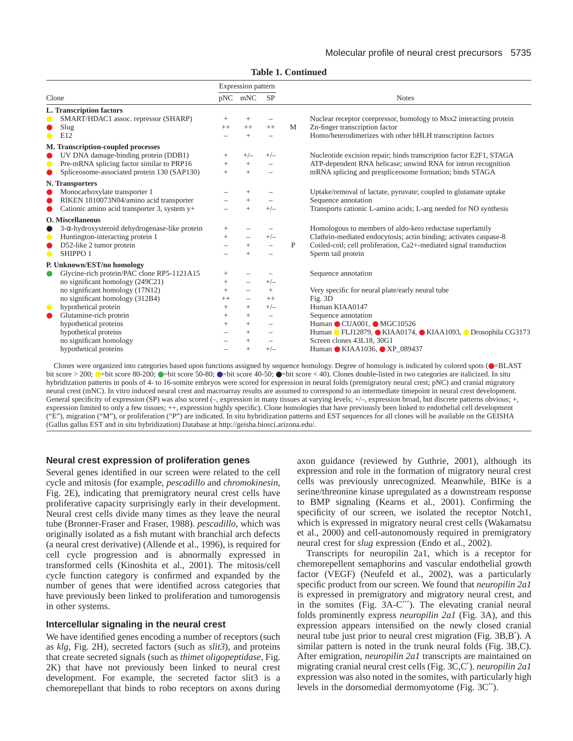|                                                        | Expression pattern |         |                          |   |                                                                    |
|--------------------------------------------------------|--------------------|---------|--------------------------|---|--------------------------------------------------------------------|
| Clone                                                  |                    | pNC mNC | <b>SP</b>                |   | <b>Notes</b>                                                       |
| L. Transcription factors                               |                    |         |                          |   |                                                                    |
| SMART/HDAC1 assoc. repressor (SHARP)                   | $^{+}$             | $^{+}$  |                          |   | Nuclear receptor corepressor, homology to Msx2 interacting protein |
| Slug                                                   | $++$               | $++$    | $++$                     | M | Zn-finger transcription factor                                     |
| E12                                                    |                    | $+$     |                          |   | Homo/heterodimerizes with other bHLH transcription factors         |
| M. Transcription-coupled processes                     |                    |         |                          |   |                                                                    |
| UV DNA damage-binding protein (DDB1)                   | $^{+}$             | $+/-$   | $+/-$                    |   | Nucleotide excision repair; binds transcription factor E2F1, STAGA |
| Pre-mRNA splicing factor similar to PRP16<br>$\bullet$ | $^{+}$             | $+$     |                          |   | ATP-dependent RNA helicase; unwind RNA for intron recognition      |
| Spliceosome-associated protein 130 (SAP130)            | $^{+}$             | $+$     |                          |   | mRNA splicing and prespliceosome formation; binds STAGA            |
| N. Transporters                                        |                    |         |                          |   |                                                                    |
| Monocarboxylate transporter 1                          |                    |         |                          |   | Uptake/removal of lactate, pyruvate; coupled to glutamate uptake   |
| RIKEN 1810073N04/amino acid transporter                |                    | $+$     |                          |   | Sequence annotation                                                |
| Cationic amino acid transporter 3, system $y+$         |                    | $+$     | $+/-$                    |   | Transports cationic L-amino acids; L-arg needed for NO synthesis   |
| <b>O.</b> Miscellaneous                                |                    |         |                          |   |                                                                    |
| $3-\alpha$ -hydroxysteroid dehydrogenase-like protein  | $^{+}$             |         |                          |   | Homologous to members of aldo-keto reductase superfamily           |
| Huntington-interacting protein 1<br>$\bullet$          | $^{+}$             |         | $+/-$                    |   | Clathrin-mediated endocytosis; actin binding; activates caspase-8  |
| D52-like 2 tumor protein                               |                    |         | $\overline{\phantom{0}}$ | P | Coiled-coil; cell proliferation, Ca2+-mediated signal transduction |
| SHIPPO <sub>1</sub>                                    |                    |         |                          |   | Sperm tail protein                                                 |
| P. Unknown/EST/no homology                             |                    |         |                          |   |                                                                    |
| Glycine-rich protein/PAC clone RP5-1121A15             | $^{+}$             |         | $\overline{\phantom{0}}$ |   | Sequence annotation                                                |
| no significant homology (249C21)                       | $^{+}$             |         | $+/-$                    |   |                                                                    |
| no significant homology (17N12)                        | $^{+}$             |         | $+$                      |   | Very specific for neural plate/early neural tube                   |
| no significant homology (312B4)                        | $++$               |         | $++$                     |   | Fig. 3D                                                            |
| hypothetical protein<br>$\bullet$                      | $^{+}$             | $^{+}$  | $+/-$                    |   | Human KIAA0147                                                     |
| Glutamine-rich protein                                 | $^{+}$             | $^{+}$  | $\overline{\phantom{0}}$ |   | Sequence annotation                                                |
| hypothetical proteins                                  | $^{+}$             |         |                          |   | Human ● CUA001, ● MGC10526                                         |
| hypothetical proteins                                  |                    |         | $\overline{\phantom{0}}$ |   | Human ● FLJ12879, ● KIAA0174, ● KIAA1093, ● Drosophila CG3173      |
| no significant homology                                |                    |         | $\overline{\phantom{m}}$ |   | Screen clones 43L18, 30G1                                          |
| hypothetical proteins                                  |                    |         | $+/-$                    |   | Human ● KIAA1036, ● XP 089437                                      |

**Table 1. Continued**

Clones were organized into categories based upon functions assigned by sequence homology. Degree of homology is indicated by colored spots (●=BLAST bit score > 200;  $\bullet$ =bit score 80-200;  $\bullet$ =bit score 50-80;  $\bullet$ =bit score 40-50;  $\bullet$ =bit score < 40). Clones double-listed in two categories are italicized. In situ hybridization patterns in pools of 4- to 16-somite embryos were scored for expression in neural folds (premigratory neural crest; pNC) and cranial migratory neural crest (mNC). In vitro induced neural crest and macroarray results are assumed to correspond to an intermediate timepoint in neural crest development. General specificity of expression (SP) was also scored (-, expression in many tissues at varying levels; +/-, expression broad, but discrete patterns obvious; +, expression limited to only a few tissues; ++, expression highly specific). Clone homologies that have previously been linked to endothelial cell development ("E"), migration ("M"), or proliferation ("P") are indicated. In situ hybridization patterns and EST sequences for all clones will be available on the GEISHA (Gallus gallus EST and in situ hybridization) Database at<http://geisha.biosci.arizona.edu/.>

## **Neural crest expression of proliferation genes**

Several genes identified in our screen were related to the cell cycle and mitosis (for example, *pescadillo* and *chromokinesin*, Fig. 2E), indicating that premigratory neural crest cells have proliferative capacity surprisingly early in their development. Neural crest cells divide many times as they leave the neural tube (Bronner-Fraser and Fraser, 1988). *pescadillo*, which was originally isolated as a fish mutant with branchial arch defects (a neural crest derivative) (Allende et al., 1996), is required for cell cycle progression and is abnormally expressed in transformed cells (Kinoshita et al., 2001). The mitosis/cell cycle function category is confirmed and expanded by the number of genes that were identified across categories that have previously been linked to proliferation and tumorogensis in other systems.

#### **Intercellular signaling in the neural crest**

We have identified genes encoding a number of receptors (such as *klg*, Fig. 2H), secreted factors (such as *slit3*), and proteins that create secreted signals (such as *thimet oligopeptidase*, Fig. 2K) that have not previously been linked to neural crest development. For example, the secreted factor slit3 is a chemorepellant that binds to robo receptors on axons during

axon guidance (reviewed by Guthrie, 2001), although its expression and role in the formation of migratory neural crest cells was previously unrecognized. Meanwhile, BIKe is a serine/threonine kinase upregulated as a downstream response to BMP signaling (Kearns et al., 2001). Confirming the specificity of our screen, we isolated the receptor Notch1, which is expressed in migratory neural crest cells (Wakamatsu et al., 2000) and cell-autonomously required in premigratory neural crest for *slug* expression (Endo et al., 2002).

Transcripts for neuropilin 2a1, which is a receptor for chemorepellent semaphorins and vascular endothelial growth factor (VEGF) (Neufeld et al., 2002), was a particularly specific product from our screen. We found that *neuropilin 2a1* is expressed in premigratory and migratory neural crest, and in the somites (Fig. 3A-C′′′). The elevating cranial neural folds prominently express *neuropilin 2a1* (Fig. 3A), and this expression appears intensified on the newly closed cranial neural tube just prior to neural crest migration (Fig. 3B,B′). A similar pattern is noted in the trunk neural folds (Fig. 3B,C). After emigration, *neuropilin 2a1* transcripts are maintained on migrating cranial neural crest cells (Fig. 3C,C′). *neuropilin 2a1* expression was also noted in the somites, with particularly high levels in the dorsomedial dermomyotome (Fig. 3C′′).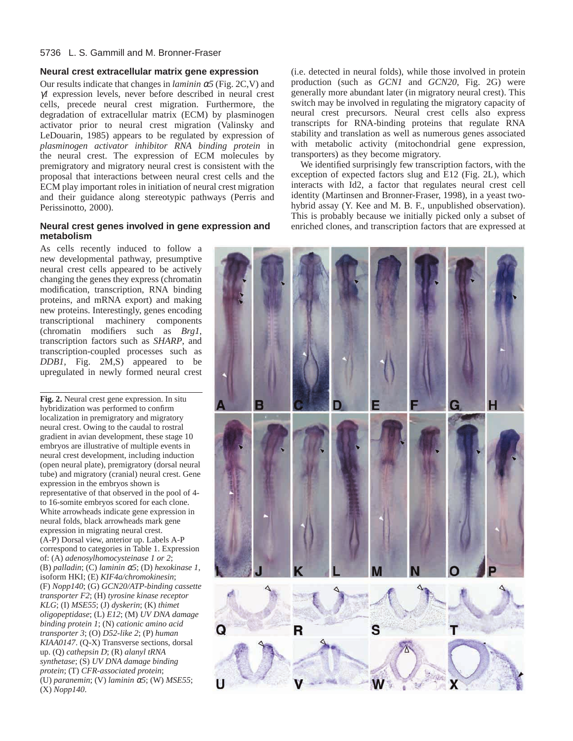## 5736 L. S. Gammill and M. Bronner-Fraser

## **Neural crest extracellular matrix gene expression**

Our results indicate that changes in *laminin* α*5* (Fig. 2C,V) and γ*1* expression levels, never before described in neural crest cells, precede neural crest migration. Furthermore, the degradation of extracellular matrix (ECM) by plasminogen activator prior to neural crest migration (Valinsky and LeDouarin, 1985) appears to be regulated by expression of *plasminogen activator inhibitor RNA binding protein* in the neural crest. The expression of ECM molecules by premigratory and migratory neural crest is consistent with the proposal that interactions between neural crest cells and the ECM play important roles in initiation of neural crest migration and their guidance along stereotypic pathways (Perris and Perissinotto, 2000).

## **Neural crest genes involved in gene expression and metabolism**

As cells recently induced to follow a new developmental pathway, presumptive neural crest cells appeared to be actively changing the genes they express (chromatin modification, transcription, RNA binding proteins, and mRNA export) and making new proteins. Interestingly, genes encoding transcriptional machinery components (chromatin modifiers such as *Brg1*, transcription factors such as *SHARP*, and transcription-coupled processes such as *DDB1*, Fig. 2M,S) appeared to be upregulated in newly formed neural crest

**Fig. 2.** Neural crest gene expression. In situ hybridization was performed to confirm localization in premigratory and migratory neural crest. Owing to the caudal to rostral gradient in avian development, these stage 10 embryos are illustrative of multiple events in neural crest development, including induction (open neural plate), premigratory (dorsal neural tube) and migratory (cranial) neural crest. Gene expression in the embryos shown is representative of that observed in the pool of 4 to 16-somite embryos scored for each clone. White arrowheads indicate gene expression in neural folds, black arrowheads mark gene expression in migrating neural crest. (A-P) Dorsal view, anterior up. Labels A-P correspond to categories in Table 1. Expression of: (A) *adenosylhomocysteinase 1 or 2*; (B) *palladin*; (C) *laminin* α*5*; (D) *hexokinase 1*, isoform HKI; (E) *KIF4a/chromokinesin*; (F) *Nopp140*; (G) *GCN20/ATP-binding cassette transporter F2*; (H) *tyrosine kinase receptor KLG*; (I) *MSE55*; (J) *dyskerin*; (K) *thimet oligopeptidase*; (L) *E12*; (M) *UV DNA damage binding protein 1*; (N) *cationic amino acid transporter 3*; (O) *D52-like 2*; (P) *human KIAA0147*. (Q-X) Transverse sections, dorsal up. (Q) *cathepsin D*; (R) *alanyl tRNA synthetase*; (S) *UV DNA damage binding protein*; (T) *CFR-associated protein*; (U) *paranemin*; (V) *laminin* α*5*; (W) *MSE55*; (X) *Nopp140*.

(i.e. detected in neural folds), while those involved in protein production (such as *GCN1* and *GCN20*, Fig. 2G) were generally more abundant later (in migratory neural crest). This switch may be involved in regulating the migratory capacity of neural crest precursors. Neural crest cells also express transcripts for RNA-binding proteins that regulate RNA stability and translation as well as numerous genes associated with metabolic activity (mitochondrial gene expression, transporters) as they become migratory.

We identified surprisingly few transcription factors, with the exception of expected factors slug and E12 (Fig. 2L), which interacts with Id2, a factor that regulates neural crest cell identity (Martinsen and Bronner-Fraser, 1998), in a yeast twohybrid assay (Y. Kee and M. B. F., unpublished observation). This is probably because we initially picked only a subset of enriched clones, and transcription factors that are expressed at

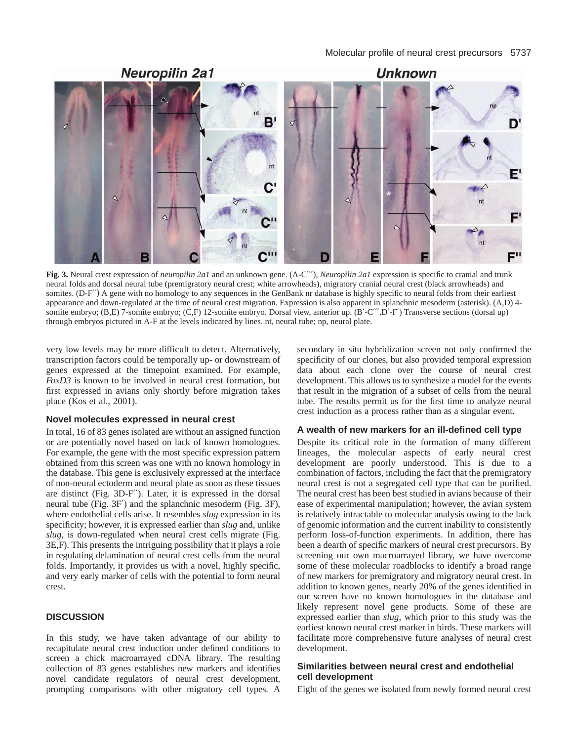

**Fig. 3.** Neural crest expression of *neuropilin 2a1* and an unknown gene. (A-C′′′), *Neuropilin 2a1* expression is specific to cranial and trunk neural folds and dorsal neural tube (premigratory neural crest; white arrowheads), migratory cranial neural crest (black arrowheads) and somites. (D-F'') A gene with no homology to any sequences in the GenBank nr database is highly specific to neural folds from their earliest appearance and down-regulated at the time of neural crest migration. Expression is also apparent in splanchnic mesoderm (asterisk). (A,D) 4 somite embryo; (B,E) 7-somite embryo; (C,F) 12-somite embryo. Dorsal view, anterior up. (B'-C''',D'-F') Transverse sections (dorsal up) through embryos pictured in A-F at the levels indicated by lines. nt, neural tube; np, neural plate.

very low levels may be more difficult to detect. Alternatively, transcription factors could be temporally up- or downstream of genes expressed at the timepoint examined. For example, *FoxD3* is known to be involved in neural crest formation, but first expressed in avians only shortly before migration takes place (Kos et al., 2001).

#### **Novel molecules expressed in neural crest**

In total, 16 of 83 genes isolated are without an assigned function or are potentially novel based on lack of known homologues. For example, the gene with the most specific expression pattern obtained from this screen was one with no known homology in the database. This gene is exclusively expressed at the interface of non-neural ectoderm and neural plate as soon as these tissues are distinct (Fig. 3D-F′′). Later, it is expressed in the dorsal neural tube (Fig. 3F′) and the splanchnic mesoderm (Fig. 3F), where endothelial cells arise. It resembles *slug* expression in its specificity; however, it is expressed earlier than *slug* and, unlike *slug*, is down-regulated when neural crest cells migrate (Fig. 3E,F). This presents the intriguing possibility that it plays a role in regulating delamination of neural crest cells from the neural folds. Importantly, it provides us with a novel, highly specific, and very early marker of cells with the potential to form neural crest.

## **DISCUSSION**

In this study, we have taken advantage of our ability to recapitulate neural crest induction under defined conditions to screen a chick macroarrayed cDNA library. The resulting collection of 83 genes establishes new markers and identifies novel candidate regulators of neural crest development, prompting comparisons with other migratory cell types. A secondary in situ hybridization screen not only confirmed the specificity of our clones, but also provided temporal expression data about each clone over the course of neural crest development. This allows us to synthesize a model for the events that result in the migration of a subset of cells from the neural tube. The results permit us for the first time to analyze neural crest induction as a process rather than as a singular event.

#### **A wealth of new markers for an ill-defined cell type**

Despite its critical role in the formation of many different lineages, the molecular aspects of early neural crest development are poorly understood. This is due to a combination of factors, including the fact that the premigratory neural crest is not a segregated cell type that can be purified. The neural crest has been best studied in avians because of their ease of experimental manipulation; however, the avian system is relatively intractable to molecular analysis owing to the lack of genomic information and the current inability to consistently perform loss-of-function experiments. In addition, there has been a dearth of specific markers of neural crest precursors. By screening our own macroarrayed library, we have overcome some of these molecular roadblocks to identify a broad range of new markers for premigratory and migratory neural crest. In addition to known genes, nearly 20% of the genes identified in our screen have no known homologues in the database and likely represent novel gene products. Some of these are expressed earlier than *slug*, which prior to this study was the earliest known neural crest marker in birds. These markers will facilitate more comprehensive future analyses of neural crest development.

#### **Similarities between neural crest and endothelial cell development**

Eight of the genes we isolated from newly formed neural crest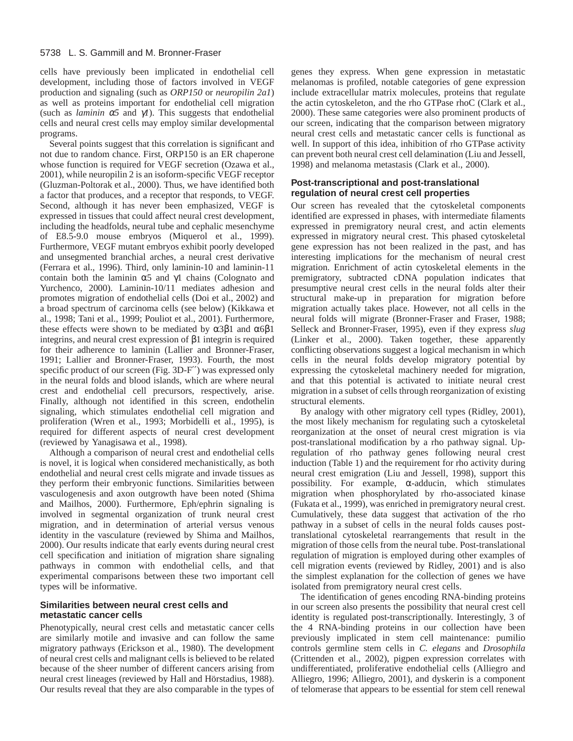cells have previously been implicated in endothelial cell development, including those of factors involved in VEGF production and signaling (such as *ORP150* or *neuropilin 2a1*) as well as proteins important for endothelial cell migration (such as *laminin*  $\alpha$ *5* and  $\gamma$ *l*). This suggests that endothelial cells and neural crest cells may employ similar developmental programs.

Several points suggest that this correlation is significant and not due to random chance. First, ORP150 is an ER chaperone whose function is required for VEGF secretion (Ozawa et al., 2001), while neuropilin 2 is an isoform-specific VEGF receptor (Gluzman-Poltorak et al., 2000). Thus, we have identified both a factor that produces, and a receptor that responds, to VEGF. Second, although it has never been emphasized, VEGF is expressed in tissues that could affect neural crest development, including the headfolds, neural tube and cephalic mesenchyme of E8.5-9.0 mouse embryos (Miquerol et al., 1999). Furthermore, VEGF mutant embryos exhibit poorly developed and unsegmented branchial arches, a neural crest derivative (Ferrara et al., 1996). Third, only laminin-10 and laminin-11 contain both the laminin  $\alpha$ 5 and  $\gamma$ 1 chains (Colognato and Yurchenco, 2000). Laminin-10/11 mediates adhesion and promotes migration of endothelial cells (Doi et al., 2002) and a broad spectrum of carcinoma cells (see below) (Kikkawa et al., 1998; Tani et al., 1999; Pouliot et al., 2001). Furthermore, these effects were shown to be mediated by  $\alpha 3\beta 1$  and  $\alpha 6\beta 1$ integrins, and neural crest expression of β1 integrin is required for their adherence to laminin (Lallier and Bronner-Fraser, 1991; Lallier and Bronner-Fraser, 1993). Fourth, the most specific product of our screen (Fig. 3D-F") was expressed only in the neural folds and blood islands, which are where neural crest and endothelial cell precursors, respectively, arise. Finally, although not identified in this screen, endothelin signaling, which stimulates endothelial cell migration and proliferation (Wren et al., 1993; Morbidelli et al., 1995), is required for different aspects of neural crest development (reviewed by Yanagisawa et al., 1998).

Although a comparison of neural crest and endothelial cells is novel, it is logical when considered mechanistically, as both endothelial and neural crest cells migrate and invade tissues as they perform their embryonic functions. Similarities between vasculogenesis and axon outgrowth have been noted (Shima and Mailhos, 2000). Furthermore, Eph/ephrin signaling is involved in segmental organization of trunk neural crest migration, and in determination of arterial versus venous identity in the vasculature (reviewed by Shima and Mailhos, 2000). Our results indicate that early events during neural crest cell specification and initiation of migration share signaling pathways in common with endothelial cells, and that experimental comparisons between these two important cell types will be informative.

## **Similarities between neural crest cells and metastatic cancer cells**

Phenotypically, neural crest cells and metastatic cancer cells are similarly motile and invasive and can follow the same migratory pathways (Erickson et al., 1980). The development of neural crest cells and malignant cells is believed to be related because of the sheer number of different cancers arising from neural crest lineages (reviewed by Hall and Hörstadius, 1988). Our results reveal that they are also comparable in the types of

genes they express. When gene expression in metastatic melanomas is profiled, notable categories of gene expression include extracellular matrix molecules, proteins that regulate the actin cytoskeleton, and the rho GTPase rhoC (Clark et al., 2000). These same categories were also prominent products of our screen, indicating that the comparison between migratory neural crest cells and metastatic cancer cells is functional as well. In support of this idea, inhibition of rho GTPase activity can prevent both neural crest cell delamination (Liu and Jessell, 1998) and melanoma metastasis (Clark et al., 2000).

## **Post-transcriptional and post-translational regulation of neural crest cell properties**

Our screen has revealed that the cytoskeletal components identified are expressed in phases, with intermediate filaments expressed in premigratory neural crest, and actin elements expressed in migratory neural crest. This phased cytoskeletal gene expression has not been realized in the past, and has interesting implications for the mechanism of neural crest migration. Enrichment of actin cytoskeletal elements in the premigratory, subtracted cDNA population indicates that presumptive neural crest cells in the neural folds alter their structural make-up in preparation for migration before migration actually takes place. However, not all cells in the neural folds will migrate (Bronner-Fraser and Fraser, 1988; Selleck and Bronner-Fraser, 1995), even if they express *slug* (Linker et al., 2000). Taken together, these apparently conflicting observations suggest a logical mechanism in which cells in the neural folds develop migratory potential by expressing the cytoskeletal machinery needed for migration, and that this potential is activated to initiate neural crest migration in a subset of cells through reorganization of existing structural elements.

By analogy with other migratory cell types (Ridley, 2001), the most likely mechanism for regulating such a cytoskeletal reorganization at the onset of neural crest migration is via post-translational modification by a rho pathway signal. Upregulation of rho pathway genes following neural crest induction (Table 1) and the requirement for rho activity during neural crest emigration (Liu and Jessell, 1998), support this possibility. For example,  $\alpha$ -adducin, which stimulates migration when phosphorylated by rho-associated kinase (Fukata et al., 1999), was enriched in premigratory neural crest. Cumulatively, these data suggest that activation of the rho pathway in a subset of cells in the neural folds causes posttranslational cytoskeletal rearrangements that result in the migration of those cells from the neural tube. Post-translational regulation of migration is employed during other examples of cell migration events (reviewed by Ridley, 2001) and is also the simplest explanation for the collection of genes we have isolated from premigratory neural crest cells.

The identification of genes encoding RNA-binding proteins in our screen also presents the possibility that neural crest cell identity is regulated post-transcriptionally. Interestingly, 3 of the 4 RNA-binding proteins in our collection have been previously implicated in stem cell maintenance: pumilio controls germline stem cells in *C. elegans* and *Drosophila* (Crittenden et al., 2002), pigpen expression correlates with undifferentiated, proliferative endothelial cells (Alliegro and Alliegro, 1996; Alliegro, 2001), and dyskerin is a component of telomerase that appears to be essential for stem cell renewal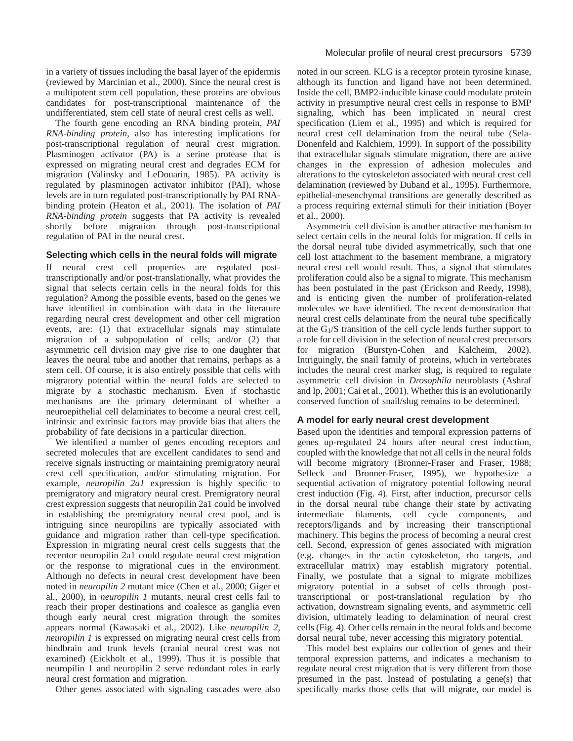in a variety of tissues including the basal layer of the epidermis (reviewed by Marcinian et al., 2000). Since the neural crest is a multipotent stem cell population, these proteins are obvious candidates for post-transcriptional maintenance of the undifferentiated, stem cell state of neural crest cells as well.

The fourth gene encoding an RNA binding protein, *PAI RNA-binding protein*, also has interesting implications for post-transcriptional regulation of neural crest migration. Plasminogen activator (PA) is a serine protease that is expressed on migrating neural crest and degrades ECM for migration (Valinsky and LeDouarin, 1985). PA activity is regulated by plasminogen activator inhibitor (PAI), whose levels are in turn regulated post-transcriptionally by PAI RNAbinding protein (Heaton et al., 2001). The isolation of *PAI RNA-binding protein* suggests that PA activity is revealed shortly before migration through post-transcriptional regulation of PAI in the neural crest.

## **Selecting which cells in the neural folds will migrate**

If neural crest cell properties are regulated posttranscriptionally and/or post-translationally, what provides the signal that selects certain cells in the neural folds for this regulation? Among the possible events, based on the genes we have identified in combination with data in the literature regarding neural crest development and other cell migration events, are: (1) that extracellular signals may stimulate migration of a subpopulation of cells; and/or (2) that asymmetric cell division may give rise to one daughter that leaves the neural tube and another that remains, perhaps as a stem cell. Of course, it is also entirely possible that cells with migratory potential within the neural folds are selected to migrate by a stochastic mechanism. Even if stochastic mechanisms are the primary determinant of whether a neuroepithelial cell delaminates to become a neural crest cell, intrinsic and extrinsic factors may provide bias that alters the probability of fate decisions in a particular direction.

We identified a number of genes encoding receptors and secreted molecules that are excellent candidates to send and receive signals instructing or maintaining premigratory neural crest cell specification, and/or stimulating migration. For example, *neuropilin 2a1* expression is highly specific to premigratory and migratory neural crest. Premigratory neural crest expression suggests that neuropilin 2a1 could be involved in establishing the premigratory neural crest pool, and is intriguing since neuropilins are typically associated with guidance and migration rather than cell-type specification. Expression in migrating neural crest cells suggests that the recentor neuropilin 2a1 could regulate neural crest migration or the response to migrational cues in the environment. Although no defects in neural crest development have been noted in *neuropilin 2* mutant mice (Chen et al., 2000; Giger et al., 2000), in *neuropilin 1* mutants, neural crest cells fail to reach their proper destinations and coalesce as ganglia even though early neural crest migration through the somites appears normal (Kawasaki et al., 2002). Like *neuropilin 2*, *neuropilin 1* is expressed on migrating neural crest cells from hindbrain and trunk levels (cranial neural crest was not examined) (Eickholt et al., 1999). Thus it is possible that neuropilin 1 and neuropilin 2 serve redundant roles in early neural crest formation and migration.

Other genes associated with signaling cascades were also

noted in our screen. KLG is a receptor protein tyrosine kinase, although its function and ligand have not been determined. Inside the cell, BMP2-inducible kinase could modulate protein activity in presumptive neural crest cells in response to BMP signaling, which has been implicated in neural crest specification (Liem et al., 1995) and which is required for neural crest cell delamination from the neural tube (Sela-Donenfeld and Kalchiem, 1999). In support of the possibility that extracellular signals stimulate migration, there are active changes in the expression of adhesion molecules and alterations to the cytoskeleton associated with neural crest cell delamination (reviewed by Duband et al., 1995). Furthermore, epithelial-mesenchymal transitions are generally described as a process requiring external stimuli for their initiation (Boyer et al., 2000).

Asymmetric cell division is another attractive mechanism to select certain cells in the neural folds for migration. If cells in the dorsal neural tube divided asymmetrically, such that one cell lost attachment to the basement membrane, a migratory neural crest cell would result. Thus, a signal that stimulates proliferation could also be a signal to migrate. This mechanism has been postulated in the past (Erickson and Reedy, 1998), and is enticing given the number of proliferation-related molecules we have identified. The recent demonstration that neural crest cells delaminate from the neural tube specifically at the G1/S transition of the cell cycle lends further support to a role for cell division in the selection of neural crest precursors for migration (Burstyn-Cohen and Kalcheim, 2002). Intriguingly, the snail family of proteins, which in vertebrates includes the neural crest marker slug, is required to regulate asymmetric cell division in *Drosophila* neuroblasts (Ashraf and Ip, 2001; Cai et al., 2001). Whether this is an evolutionarily conserved function of snail/slug remains to be determined.

## **A model for early neural crest development**

Based upon the identities and temporal expression patterns of genes up-regulated 24 hours after neural crest induction, coupled with the knowledge that not all cells in the neural folds will become migratory (Bronner-Fraser and Fraser, 1988; Selleck and Bronner-Fraser, 1995), we hypothesize a sequential activation of migratory potential following neural crest induction (Fig. 4). First, after induction, precursor cells in the dorsal neural tube change their state by activating intermediate filaments, cell cycle components, and receptors/ligands and by increasing their transcriptional machinery. This begins the process of becoming a neural crest cell. Second, expression of genes associated with migration (e.g. changes in the actin cytoskeleton, rho targets, and extracellular matrix) may establish migratory potential. Finally, we postulate that a signal to migrate mobilizes migratory potential in a subset of cells through posttranscriptional or post-translational regulation by rho activation, downstream signaling events, and asymmetric cell division, ultimately leading to delamination of neural crest cells (Fig. 4). Other cells remain in the neural folds and become dorsal neural tube, never accessing this migratory potential.

This model best explains our collection of genes and their temporal expression patterns, and indicates a mechanism to regulate neural crest migration that is very different from those presumed in the past. Instead of postulating a gene(s) that specifically marks those cells that will migrate, our model is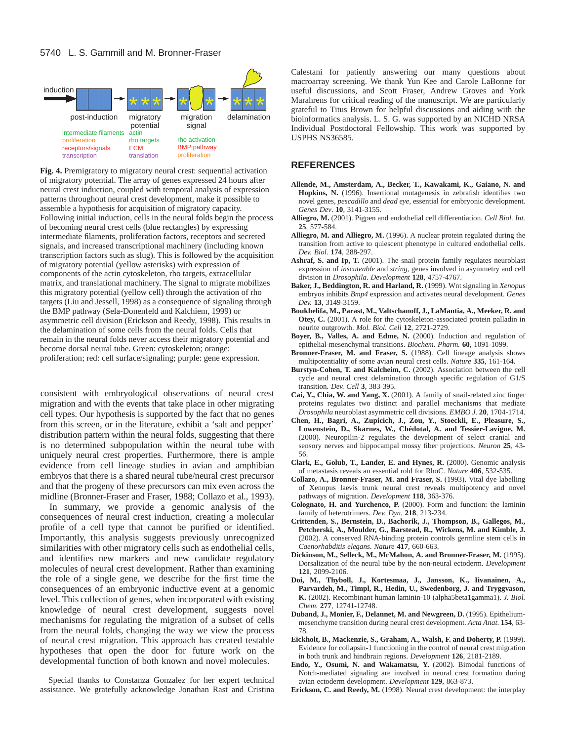

**Fig. 4.** Premigratory to migratory neural crest: sequential activation of migratory potential. The array of genes expressed 24 hours after neural crest induction, coupled with temporal analysis of expression patterns throughout neural crest development, make it possible to assemble a hypothesis for acquisition of migratory capacity. Following initial induction, cells in the neural folds begin the process of becoming neural crest cells (blue rectangles) by expressing intermediate filaments, proliferation factors, receptors and secreted signals, and increased transcriptional machinery (including known transcription factors such as slug). This is followed by the acquisition of migratory potential (yellow asterisks) with expression of components of the actin cytoskeleton, rho targets, extracellular matrix, and translational machinery. The signal to migrate mobilizes this migratory potential (yellow cell) through the activation of rho targets (Liu and Jessell, 1998) as a consequence of signaling through the BMP pathway (Sela-Donenfeld and Kalchiem, 1999) or asymmetric cell division (Erickson and Reedy, 1998). This results in the delamination of some cells from the neural folds. Cells that remain in the neural folds never access their migratory potential and become dorsal neural tube. Green: cytoskeleton; orange: proliferation; red: cell surface/signaling; purple: gene expression.

consistent with embryological observations of neural crest migration and with the events that take place in other migrating cell types. Our hypothesis is supported by the fact that no genes from this screen, or in the literature, exhibit a 'salt and pepper' distribution pattern within the neural folds, suggesting that there is no determined subpopulation within the neural tube with uniquely neural crest properties. Furthermore, there is ample evidence from cell lineage studies in avian and amphibian embryos that there is a shared neural tube/neural crest precursor and that the progeny of these precursors can mix even across the midline (Bronner-Fraser and Fraser, 1988; Collazo et al., 1993).

In summary, we provide a genomic analysis of the consequences of neural crest induction, creating a molecular profile of a cell type that cannot be purified or identified. Importantly, this analysis suggests previously unrecognized similarities with other migratory cells such as endothelial cells, and identifies new markers and new candidate regulatory molecules of neural crest development. Rather than examining the role of a single gene, we describe for the first time the consequences of an embryonic inductive event at a genomic level. This collection of genes, when incorporated with existing knowledge of neural crest development, suggests novel mechanisms for regulating the migration of a subset of cells from the neural folds, changing the way we view the process of neural crest migration. This approach has created testable hypotheses that open the door for future work on the developmental function of both known and novel molecules.

Special thanks to Constanza Gonzalez for her expert technical assistance. We gratefully acknowledge Jonathan Rast and Cristina

Calestani for patiently answering our many questions about macroarray screening. We thank Yun Kee and Carole LaBonne for useful discussions, and Scott Fraser, Andrew Groves and York Marahrens for critical reading of the manuscript. We are particularly grateful to Titus Brown for helpful discussions and aiding with the bioinformatics analysis. L. S. G. was supported by an NICHD NRSA Individual Postdoctoral Fellowship. This work was supported by USPHS NS36585.

#### **REFERENCES**

- **Allende, M., Amsterdam, A., Becker, T., Kawakami, K., Gaiano, N. and Hopkins, N.** (1996). Insertional mutagenesis in zebrafish identifies two novel genes, *pescadillo* and *dead eye*, essential for embryonic development. *Genes Dev*. **10**, 3141-3155.
- **Alliegro, M.** (2001). Pigpen and endothelial cell differentiation. *Cell Biol. Int.* **25**, 577-584.
- **Alliegro, M. and Alliegro, M.** (1996). A nuclear protein regulated during the transition from active to quiescent phenotype in cultured endothelial cells. *Dev. Biol.* **174**, 288-297.
- **Ashraf, S. and Ip, T.** (2001). The snail protein family regulates neuroblast expression of *inscuteable* and *string*, genes involved in asymmetry and cell division in *Drosophila*. *Development* **128**, 4757-4767.
- **Baker, J., Beddington, R. and Harland, R.** (1999). Wnt signaling in *Xenopus* embryos inhibits *Bmp4* expression and activates neural development. *Genes Dev.* **13**, 3149-3159.
- **Boukhelifa, M., Parast, M., Valtschanoff, J., LaMantia, A., Meeker, R. and Otey, C.** (2001). A role for the cytoskeleton-associated protein palladin in neurite outgrowth. *Mol. Biol. Cell* **12**, 2721-2729.
- **Boyer, B., Valles, A. and Edme, N.** (2000). Induction and regulation of epithelial-mesenchymal transitions. *Biochem. Pharm.* **60**, 1091-1099.
- **Bronner-Fraser, M. and Fraser, S.** (1988). Cell lineage analysis shows multipotentiality of some avian neural crest cells. *Nature* **335**, 161-164.
- **Burstyn-Cohen, T. and Kalcheim, C.** (2002). Association between the cell cycle and neural crest delamination through specific regulation of G1/S transition. *Dev. Cell* **3**, 383-395.
- **Cai, Y., Chia, W. and Yang, X.** (2001). A family of snail-related zinc finger proteins regulates two distinct and parallel mechanisms that mediate *Drosophila* neuroblast asymmetric cell divisions. *EMBO J.* **20**, 1704-1714.
- **Chen, H., Bagri, A., Zupicich, J., Zou, Y., Stoeckli, E., Pleasure, S., Lowenstein, D., Skarnes, W., Chédotal, A. and Tessier-Lavigne, M.** (2000). Neuropilin-2 regulates the development of select cranial and sensory nerves and hippocampal mossy fiber projections. *Neuron* **25**, 43- 56.
- **Clark, E., Golub, T., Lander, E. and Hynes, R.** (2000). Genomic analysis of metastasis reveals an essential rold for RhoC. *Nature* **406**, 532-535.
- **Collazo, A., Bronner-Fraser, M. and Fraser, S.** (1993). Vital dye labelling of Xenopus laevis trunk neural crest reveals multipotency and novel pathways of migration. *Development* **118**, 363-376.
- **Colognato, H. and Yurchenco, P.** (2000). Form and function: the laminin family of heterotrimers. *Dev. Dyn.* **218**, 213-234.
- **Crittenden, S., Bernstein, D., Bachorik, J., Thompson, B., Gallegos, M., Petcherski, A., Moulder, G., Barstead, R., Wickens, M. and Kimble, J.** (2002). A conserved RNA-binding protein controls germline stem cells in *Caenorhabditis elegans*. *Nature* **417**, 660-663.
- **Dickinson, M., Selleck, M., McMahon, A. and Bronner-Fraser, M.** (1995). Dorsalization of the neural tube by the non-neural ectoderm. *Development* **121**, 2099-2106.
- **Doi, M., Thyboll, J., Kortesmaa, J., Jansson, K., Iivanainen, A., Parvardeh, M., Timpl, R., Hedin, U., Swedenborg, J. and Tryggvason, K.** (2002). Recombinant human laminin-10 (alpha5beta1gamma1). *J. Biol. Chem.* **277**, 12741-12748.
- **Duband, J., Monier, F., Delannet, M. and Newgreen, D.** (1995). Epitheliummesenchyme transition during neural crest development. *Acta Anat*. **154**, 63- 78.
- **Eickholt, B., Mackenzie, S., Graham, A., Walsh, F. and Doherty, P.** (1999). Evidence for collapsin-1 functioning in the control of neural crest migration in both trunk and hindbrain regions. *Development* **126**, 2181-2189.
- **Endo, Y., Osumi, N. and Wakamatsu, Y.** (2002). Bimodal functions of Notch-mediated signaling are involved in neural crest formation during avian ectoderm development. *Development* **129**, 863-873.
- **Erickson, C. and Reedy, M.** (1998). Neural crest development: the interplay